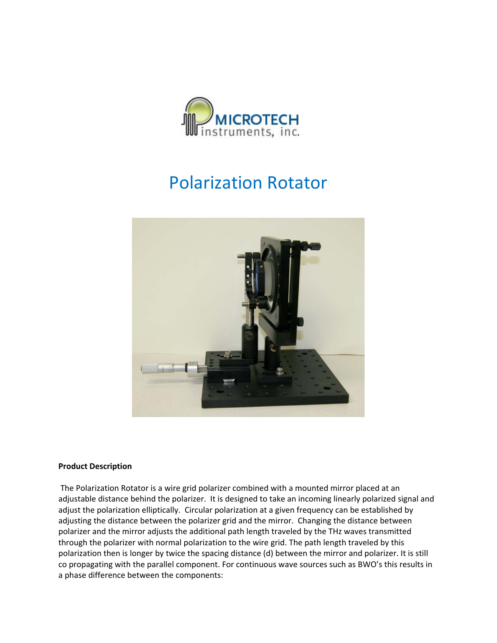

## Polarization Rotator



## **Product Description**

The Polarization Rotator is a wire grid polarizer combined with a mounted mirror placed at an adjustable distance behind the polarizer. It is designed to take an incoming linearly polarized signal and adjust the polarization elliptically. Circular polarization at a given frequency can be established by adjusting the distance between the polarizer grid and the mirror. Changing the distance between polarizer and the mirror adjusts the additional path length traveled by the THz waves transmitted through the polarizer with normal polarization to the wire grid. The path length traveled by this polarization then is longer by twice the spacing distance (d) between the mirror and polarizer. It is still co propagating with the parallel component. For continuous wave sources such as BWO's this results in a phase difference between the components: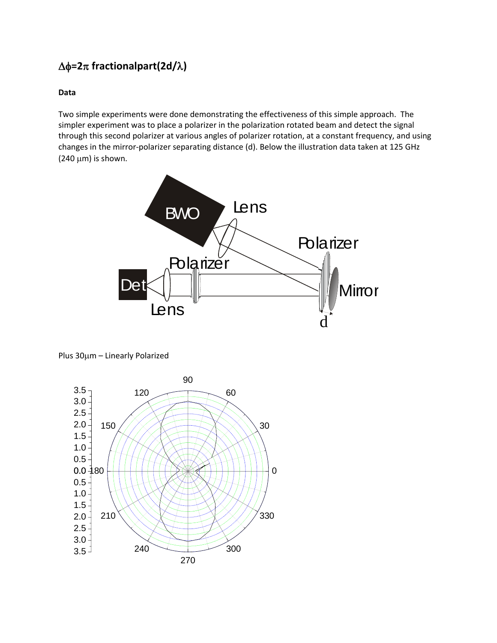## Δφ**=2**π **fractionalpart(2d/**λ**)**

## **Data**

Two simple experiments were done demonstrating the effectiveness of this simple approach. The simpler experiment was to place a polarizer in the polarization rotated beam and detect the signal through this second polarizer at various angles of polarizer rotation, at a constant frequency, and using changes in the mirror‐polarizer separating distance (d). Below the illustration data taken at 125 GHz  $(240 \mu m)$  is shown.



Plus 30μm – Linearly Polarized

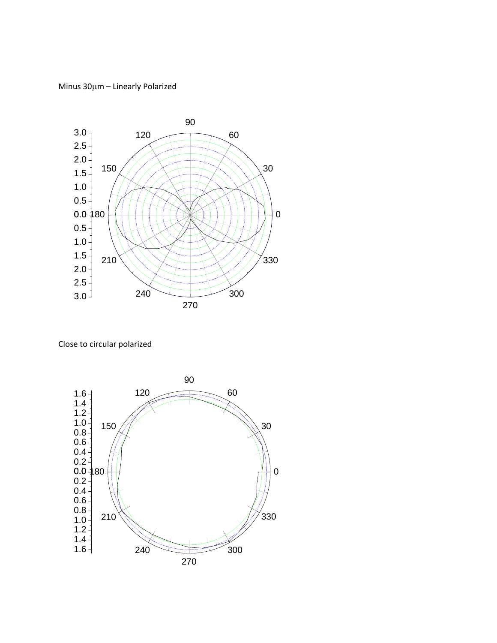Minus 30μm – Linearly Polarized



Close to circular polarized